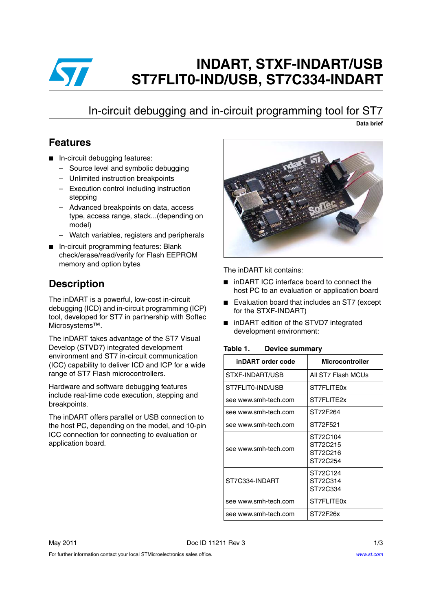

# **INDART, STXF-INDART/USB ST7FLIT0-IND/USB, ST7C334-INDART**

## In-circuit debugging and in-circuit programming tool for ST7

**Data brief**

### **Features**

- In-circuit debugging features:
	- Source level and symbolic debugging
	- Unlimited instruction breakpoints
	- Execution control including instruction stepping
	- Advanced breakpoints on data, access type, access range, stack...(depending on model)
	- Watch variables, registers and peripherals
- In-circuit programming features: Blank check/erase/read/verify for Flash EEPROM memory and option bytes

### **Description**

The inDART is a powerful, low-cost in-circuit debugging (ICD) and in-circuit programming (ICP) tool, developed for ST7 in partnership with Softec Microsystems™.

The inDART takes advantage of the ST7 Visual Develop (STVD7) integrated development environment and ST7 in-circuit communication (ICC) capability to deliver ICD and ICP for a wide range of ST7 Flash microcontrollers.

Hardware and software debugging features include real-time code execution, stepping and breakpoints.

The inDART offers parallel or USB connection to the host PC, depending on the model, and 10-pin ICC connection for connecting to evaluation or application board.



The inDART kit contains:

- inDART ICC interface board to connect the host PC to an evaluation or application board
- Evaluation board that includes an ST7 (except for the STXF-INDART)
- inDART edition of the STVD7 integrated development environment:

#### <span id="page-0-0"></span>Table 1. **Device summary**

| inDART order code    | <b>Microcontroller</b>                       |
|----------------------|----------------------------------------------|
| STXF-INDART/USB      | All ST7 Flash MCUs                           |
| ST7FLIT0-IND/USB     | ST7FLITE0x                                   |
| see www.smh-tech.com | ST7FLITF2x                                   |
| see www.smh-tech.com | ST72F264                                     |
| see www.smh-tech.com | ST72F521                                     |
| see www.smh-tech.com | ST72C104<br>ST72C215<br>ST72C216<br>ST72C254 |
| ST7C334-INDART       | ST72C124<br>ST72C314<br>ST72C334             |
| see www.smh-tech.com | ST7FLITE0x                                   |
| see www.smh-tech.com | ST72F26x                                     |

May 2011 **Doc ID 11211 Rev 3** 1/3

For further information contact your local STMicroelectronics sales office.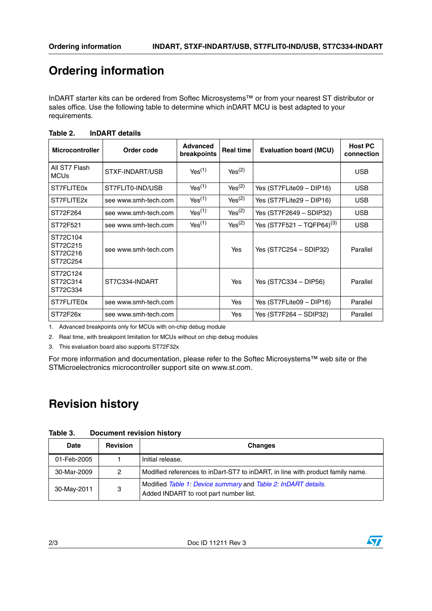## **Ordering information**

InDART starter kits can be ordered from Softec Microsystems™ or from your nearest ST distributor or sales office. Use the following table to determine which inDART MCU is best adapted to your requirements.

| <b>Microcontroller</b>                       | Order code                             | <b>Advanced</b><br>breakpoints | <b>Real time</b>   | <b>Evaluation board (MCU)</b>  | <b>Host PC</b><br>connection |
|----------------------------------------------|----------------------------------------|--------------------------------|--------------------|--------------------------------|------------------------------|
| All ST7 Flash<br><b>MCUs</b>                 | STXF-INDART/USB                        | Yes <sup>(1)</sup>             | Yes <sup>(2)</sup> |                                | <b>USB</b>                   |
| ST7FLITE0x                                   | Yes <sup>(1)</sup><br>ST7FLIT0-IND/USB |                                | $Yes^{(2)}$        | Yes (ST7FLite09 - DIP16)       | <b>USB</b>                   |
| ST7FLITE2x                                   | see www.smh-tech.com                   | Yes <sup>(1)</sup>             | Yes <sup>(2)</sup> | Yes (ST7FLite29 - DIP16)       | <b>USB</b>                   |
| ST72F264                                     | see www.smh-tech.com                   | Yes <sup>(1)</sup>             | Yes <sup>(2)</sup> | Yes (ST7F2649 - SDIP32)        | <b>USB</b>                   |
| ST72F521                                     | see www.smh-tech.com                   | Yes <sup>(1)</sup>             | Yes <sup>(2)</sup> | Yes $(ST7F521 - TQFP64)^{(3)}$ | <b>USB</b>                   |
| ST72C104<br>ST72C215<br>ST72C216<br>ST72C254 | see www.smh-tech.com                   |                                | Yes                | Yes (ST7C254 – SDIP32)         | Parallel                     |
| ST72C124<br>ST72C314<br>ST72C334             | ST7C334-INDART                         |                                | Yes                | Yes (ST7C334 – DIP56)          | Parallel                     |
| ST7FLITE0x                                   | see www.smh-tech.com                   |                                | Yes                | Yes (ST7FLite09 - DIP16)       | Parallel                     |
| ST72F26x                                     | see www.smh-tech.com                   |                                | Yes                | Yes (ST7F264 – SDIP32)         | Parallel                     |

#### <span id="page-1-0"></span>Table 2. **Table 2. InDART details**

1. Advanced breakpoints only for MCUs with on-chip debug module

2. Real time, with breakpoint limitation for MCUs without on chip debug modules

3. This evaluation board also supports ST72F32x

For more information and documentation, please refer to the Softec Microsystems™ web site or the STMicroelectronics microcontroller support site on www.st.com.

## **Revision history**

| Table 3. | <b>Document revision history</b> |  |
|----------|----------------------------------|--|
|          |                                  |  |

| <b>Date</b> | <b>Revision</b> | <b>Changes</b>                                                                                          |
|-------------|-----------------|---------------------------------------------------------------------------------------------------------|
| 01-Feb-2005 |                 | Initial release.                                                                                        |
| 30-Mar-2009 | 2               | Modified references to inDart-ST7 to inDART, in line with product family name.                          |
| 30-May-2011 | 3               | Modified Table 1: Device summary and Table 2: InDART details.<br>Added INDART to root part number list. |